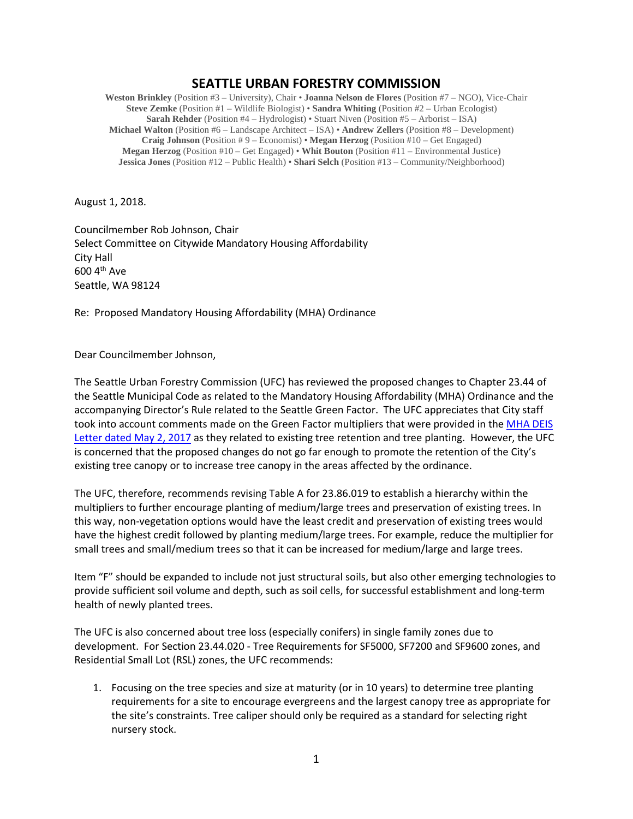## **SEATTLE URBAN FORESTRY COMMISSION**

**Weston Brinkley** (Position #3 – University), Chair • **Joanna Nelson de Flores** (Position #7 – NGO), Vice-Chair **Steve Zemke** (Position #1 – Wildlife Biologist) • **Sandra Whiting** (Position #2 – Urban Ecologist) **Sarah Rehder** (Position #4 – Hydrologist) • Stuart Niven (Position #5 – Arborist – ISA) **Michael Walton** (Position #6 – Landscape Architect – ISA) • **Andrew Zellers** (Position #8 – Development) **Craig Johnson** (Position # 9 – Economist) • **Megan Herzog** (Position #10 – Get Engaged) **Megan Herzog** (Position #10 – Get Engaged) • **Whit Bouton** (Position #11 – Environmental Justice) **Jessica Jones** (Position #12 – Public Health) • **Shari Selch** (Position #13 – Community/Neighborhood)

August 1, 2018.

Councilmember Rob Johnson, Chair Select Committee on Citywide Mandatory Housing Affordability City Hall 600 4th Ave Seattle, WA 98124

Re: Proposed Mandatory Housing Affordability (MHA) Ordinance

Dear Councilmember Johnson,

The Seattle Urban Forestry Commission (UFC) has reviewed the proposed changes to Chapter 23.44 of the Seattle Municipal Code as related to the Mandatory Housing Affordability (MHA) Ordinance and the accompanying Director's Rule related to the Seattle Green Factor. The UFC appreciates that City staff took into account comments made on the Green Factor multipliers that were provided in the [MHA DEIS](http://www.seattle.gov/Documents/Departments/UrbanForestryCommission/FinalIssuedDocuments/Recommendations/ADOPTEDMHAEISRecommendation080217.pdf)  Letter dated [May 2, 2017](http://www.seattle.gov/Documents/Departments/UrbanForestryCommission/FinalIssuedDocuments/Recommendations/ADOPTEDMHAEISRecommendation080217.pdf) as they related to existing tree retention and tree planting. However, the UFC is concerned that the proposed changes do not go far enough to promote the retention of the City's existing tree canopy or to increase tree canopy in the areas affected by the ordinance.

The UFC, therefore, recommends revising Table A for 23.86.019 to establish a hierarchy within the multipliers to further encourage planting of medium/large trees and preservation of existing trees. In this way, non-vegetation options would have the least credit and preservation of existing trees would have the highest credit followed by planting medium/large trees. For example, reduce the multiplier for small trees and small/medium trees so that it can be increased for medium/large and large trees.

Item "F" should be expanded to include not just structural soils, but also other emerging technologies to provide sufficient soil volume and depth, such as soil cells, for successful establishment and long-term health of newly planted trees.

The UFC is also concerned about tree loss (especially conifers) in single family zones due to development. For Section 23.44.020 - Tree Requirements for SF5000, SF7200 and SF9600 zones, and Residential Small Lot (RSL) zones, the UFC recommends:

1. Focusing on the tree species and size at maturity (or in 10 years) to determine tree planting requirements for a site to encourage evergreens and the largest canopy tree as appropriate for the site's constraints. Tree caliper should only be required as a standard for selecting right nursery stock.